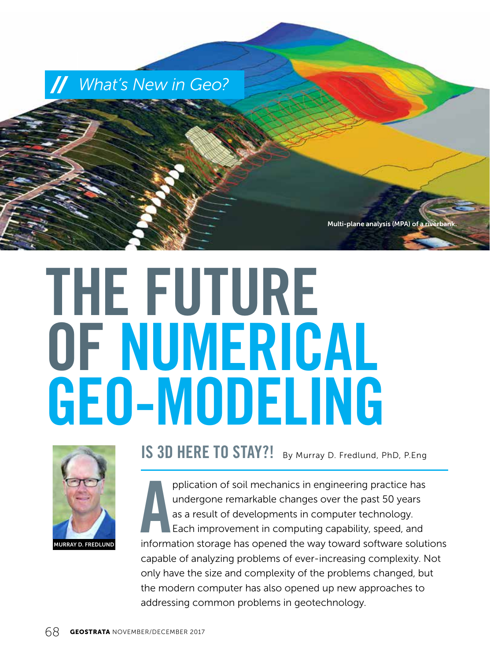

# **THE FUTURE OF NUMERICAL GEO-MODELING**



**IS 3D HERE TO STAY?!** By Murray D. Fredlund, PhD, P.Eng

pplication of soil mechanics in engineering practice has<br>
undergone remarkable changes over the past 50 years<br>
as a result of developments in computer technology.<br>
Each improvement in computing capability, speed, and<br>
info pplication of soil mechanics in engineering practice has undergone remarkable changes over the past 50 years as a result of developments in computer technology. Each improvement in computing capability, speed, and capable of analyzing problems of ever-increasing complexity. Not only have the size and complexity of the problems changed, but the modern computer has also opened up new approaches to addressing common problems in geotechnology.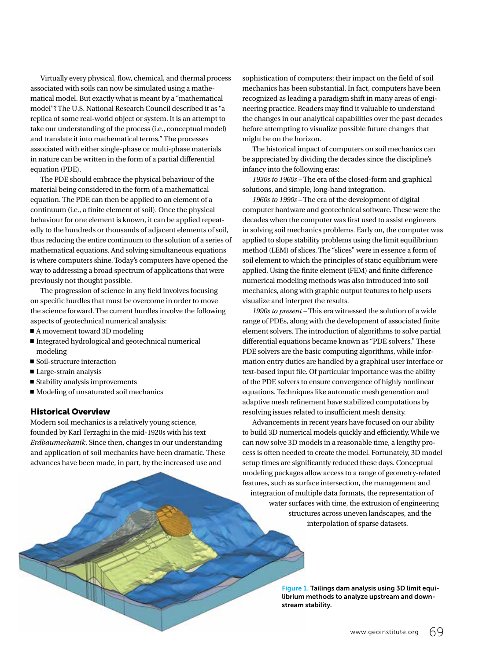Virtually every physical, flow, chemical, and thermal process associated with soils can now be simulated using a mathematical model. But exactly what is meant by a "mathematical model"? The U.S. National Research Council described it as "a replica of some real-world object or system. It is an attempt to take our understanding of the process (i.e., conceptual model) and translate it into mathematical terms." The processes associated with either single-phase or multi-phase materials in nature can be written in the form of a partial differential equation (PDE).

The PDE should embrace the physical behaviour of the material being considered in the form of a mathematical equation. The PDE can then be applied to an element of a continuum (i.e., a finite element of soil). Once the physical behaviour for one element is known, it can be applied repeatedly to the hundreds or thousands of adjacent elements of soil, thus reducing the entire continuum to the solution of a series of mathematical equations. And solving simultaneous equations is where computers shine. Today's computers have opened the way to addressing a broad spectrum of applications that were previously not thought possible.

The progression of science in any field involves focusing on specific hurdles that must be overcome in order to move the science forward. The current hurdles involve the following aspects of geotechnical numerical analysis:

- $\blacksquare$  A movement toward 3D modeling
- $\blacksquare$  Integrated hydrological and geotechnical numerical modeling
- $\blacksquare$  Soil-structure interaction
- $\blacksquare$  Large-strain analysis
- $\blacksquare$  Stability analysis improvements
- $\blacksquare$  Modeling of unsaturated soil mechanics

#### Historical Overview

Modern soil mechanics is a relatively young science, founded by Karl Terzaghi in the mid-1920s with his text *Erdbaumechanik*. Since then, changes in our understanding and application of soil mechanics have been dramatic. These advances have been made, in part, by the increased use and

sophistication of computers; their impact on the field of soil mechanics has been substantial. In fact, computers have been recognized as leading a paradigm shift in many areas of engineering practice. Readers may find it valuable to understand the changes in our analytical capabilities over the past decades before attempting to visualize possible future changes that might be on the horizon.

The historical impact of computers on soil mechanics can be appreciated by dividing the decades since the discipline's infancy into the following eras:

*1930s to 1960s –* The era of the closed-form and graphical solutions, and simple, long-hand integration.

*1960s to 1990s –* The era of the development of digital computer hardware and geotechnical software. These were the decades when the computer was first used to assist engineers in solving soil mechanics problems. Early on, the computer was applied to slope stability problems using the limit equilibrium method (LEM) of slices. The "slices" were in essence a form of soil element to which the principles of static equilibrium were applied. Using the finite element (FEM) and finite difference numerical modeling methods was also introduced into soil mechanics, along with graphic output features to help users visualize and interpret the results.

*1990s to present –* This era witnessed the solution of a wide range of PDEs, along with the development of associated finite element solvers. The introduction of algorithms to solve partial differential equations became known as "PDE solvers." These PDE solvers are the basic computing algorithms, while information entry duties are handled by a graphical user interface or text-based input file. Of particular importance was the ability of the PDE solvers to ensure convergence of highly nonlinear equations. Techniques like automatic mesh generation and adaptive mesh refinement have stabilized computations by resolving issues related to insufficient mesh density.

Advancements in recent years have focused on our ability to build 3D numerical models quickly and efficiently. While we can now solve 3D models in a reasonable time, a lengthy process is often needed to create the model. Fortunately, 3D model setup times are significantly reduced these days. Conceptual modeling packages allow access to a range of geometry-related features, such as surface intersection, the management and integration of multiple data formats, the representation of water surfaces with time, the extrusion of engineering structures across uneven landscapes, and the interpolation of sparse datasets.

> Figure 1. Tailings dam analysis using 3D limit equilibrium methods to analyze upstream and downstream stability.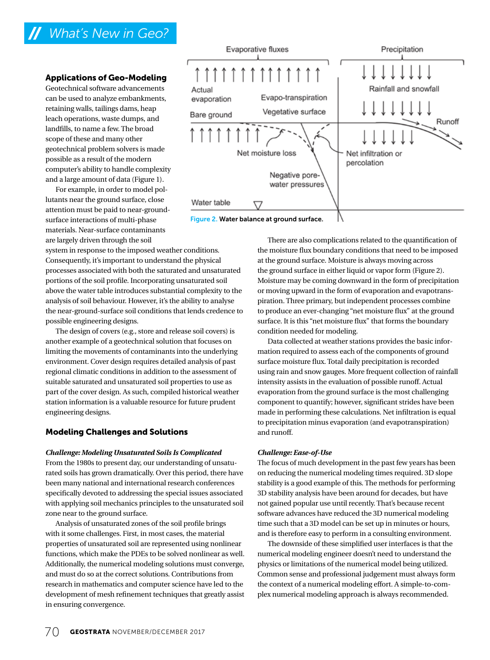# *What's New in Geo?*

#### Applications of Geo-Modeling

Geotechnical software advancements can be used to analyze embankments, retaining walls, tailings dams, heap leach operations, waste dumps, and landfills, to name a few. The broad scope of these and many other geotechnical problem solvers is made possible as a result of the modern computer's ability to handle complexity and a large amount of data (Figure 1).

For example, in order to model pollutants near the ground surface, close attention must be paid to near-groundsurface interactions of multi-phase materials. Near-surface contaminants are largely driven through the soil

system in response to the imposed weather conditions. Consequently, it's important to understand the physical processes associated with both the saturated and unsaturated portions of the soil profile. Incorporating unsaturated soil above the water table introduces substantial complexity to the analysis of soil behaviour. However, it's the ability to analyse the near-ground-surface soil conditions that lends credence to possible engineering designs.

The design of covers (e.g., store and release soil covers) is another example of a geotechnical solution that focuses on limiting the movements of contaminants into the underlying environment. Cover design requires detailed analysis of past regional climatic conditions in addition to the assessment of suitable saturated and unsaturated soil properties to use as part of the cover design. As such, compiled historical weather station information is a valuable resource for future prudent engineering designs.

#### Modeling Challenges and Solutions

#### *Challenge: Modeling Unsaturated Soils Is Complicated*

From the 1980s to present day, our understanding of unsaturated soils has grown dramatically. Over this period, there have been many national and international research conferences specifically devoted to addressing the special issues associated with applying soil mechanics principles to the unsaturated soil zone near to the ground surface.

Analysis of unsaturated zones of the soil profile brings with it some challenges. First, in most cases, the material properties of unsaturated soil are represented using nonlinear functions, which make the PDEs to be solved nonlinear as well. Additionally, the numerical modeling solutions must converge, and must do so at the correct solutions. Contributions from research in mathematics and computer science have led to the development of mesh refinement techniques that greatly assist in ensuring convergence.



Figure 2. Water balance at ground surface.

There are also complications related to the quantification of the moisture flux boundary conditions that need to be imposed at the ground surface. Moisture is always moving across the ground surface in either liquid or vapor form (Figure 2). Moisture may be coming downward in the form of precipitation or moving upward in the form of evaporation and evapotranspiration. Three primary, but independent processes combine to produce an ever-changing "net moisture flux" at the ground surface. It is this "net moisture flux" that forms the boundary condition needed for modeling.

Data collected at weather stations provides the basic information required to assess each of the components of ground surface moisture flux. Total daily precipitation is recorded using rain and snow gauges. More frequent collection of rainfall intensity assists in the evaluation of possible runoff. Actual evaporation from the ground surface is the most challenging component to quantify; however, significant strides have been made in performing these calculations. Net infiltration is equal to precipitation minus evaporation (and evapotranspiration) and runoff.

#### *Challenge: Ease-of-Use*

The focus of much development in the past few years has been on reducing the numerical modeling times required. 3D slope stability is a good example of this. The methods for performing 3D stability analysis have been around for decades, but have not gained popular use until recently. That's because recent software advances have reduced the 3D numerical modeling time such that a 3D model can be set up in minutes or hours, and is therefore easy to perform in a consulting environment.

The downside of these simplified user interfaces is that the numerical modeling engineer doesn't need to understand the physics or limitations of the numerical model being utilized. Common sense and professional judgement must always form the context of a numerical modeling effort. A simple-to-complex numerical modeling approach is always recommended.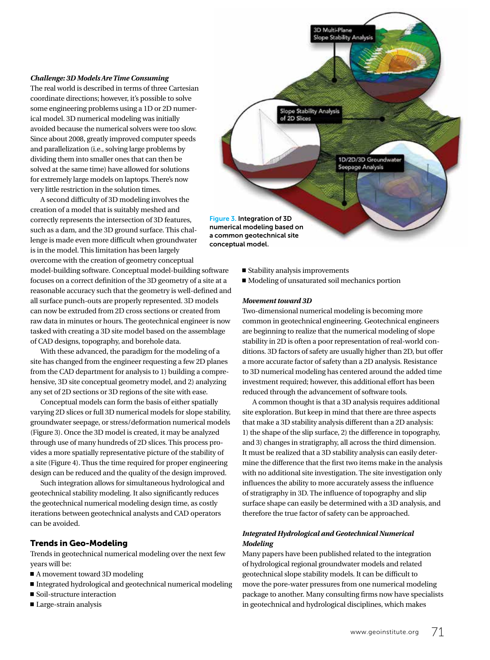#### *Challenge: 3D Models Are Time Consuming*

The real world is described in terms of three Cartesian coordinate directions; however, it's possible to solve some engineering problems using a 1D or 2D numerical model. 3D numerical modeling was initially avoided because the numerical solvers were too slow. Since about 2008, greatly improved computer speeds and parallelization (i.e., solving large problems by dividing them into smaller ones that can then be solved at the same time) have allowed for solutions for extremely large models on laptops. There's now very little restriction in the solution times.

A second difficulty of 3D modeling involves the creation of a model that is suitably meshed and correctly represents the intersection of 3D features, such as a dam, and the 3D ground surface. This challenge is made even more difficult when groundwater is in the model. This limitation has been largely overcome with the creation of geometry conceptual model-building software. Conceptual model-building software focuses on a correct definition of the 3D geometry of a site at a reasonable accuracy such that the geometry is well-defined and all surface punch-outs are properly represented. 3D models can now be extruded from 2D cross sections or created from raw data in minutes or hours. The geotechnical engineer is now tasked with creating a 3D site model based on the assemblage of CAD designs, topography, and borehole data. Figure 3. Integration of 3D

With these advanced, the paradigm for the modeling of a site has changed from the engineer requesting a few 2D planes from the CAD department for analysis to 1) building a comprehensive, 3D site conceptual geometry model, and 2) analyzing any set of 2D sections or 3D regions of the site with ease.

Conceptual models can form the basis of either spatially varying 2D slices or full 3D numerical models for slope stability, groundwater seepage, or stress/deformation numerical models (Figure 3). Once the 3D model is created, it may be analyzed through use of many hundreds of 2D slices. This process provides a more spatially representative picture of the stability of a site (Figure 4). Thus the time required for proper engineering design can be reduced and the quality of the design improved.

Such integration allows for simultaneous hydrological and geotechnical stability modeling. It also significantly reduces the geotechnical numerical modeling design time, as costly iterations between geotechnical analysts and CAD operators can be avoided.

#### Trends in Geo-Modeling

Trends in geotechnical numerical modeling over the next few years will be:

- $\blacksquare$  A movement toward 3D modeling
- $\blacksquare$  Integrated hydrological and geotechnical numerical modeling
- $\blacksquare$  Soil-structure interaction
- Large-strain analysis

numerical modeling based on a common geotechnical site conceptual model.

- $\blacksquare$  Stability analysis improvements
- $\blacksquare$  Modeling of unsaturated soil mechanics portion

D Multi-Plane Slope Stability Analysis

> 1D/2D/3D Groundwate Seepage Analysis

Slope Stability Analysis<br>of 2D Slices

#### *Movement toward 3D*

Two-dimensional numerical modeling is becoming more common in geotechnical engineering. Geotechnical engineers are beginning to realize that the numerical modeling of slope stability in 2D is often a poor representation of real-world conditions. 3D factors of safety are usually higher than 2D, but offer a more accurate factor of safety than a 2D analysis. Resistance to 3D numerical modeling has centered around the added time investment required; however, this additional effort has been reduced through the advancement of software tools.

A common thought is that a 3D analysis requires additional site exploration. But keep in mind that there are three aspects that make a 3D stability analysis different than a 2D analysis: 1) the shape of the slip surface, 2) the difference in topography, and 3) changes in stratigraphy, all across the third dimension. It must be realized that a 3D stability analysis can easily determine the difference that the first two items make in the analysis with no additional site investigation. The site investigation only influences the ability to more accurately assess the influence of stratigraphy in 3D. The influence of topography and slip surface shape can easily be determined with a 3D analysis, and therefore the true factor of safety can be approached.

#### *Integrated Hydrological and Geotechnical Numerical Modeling*

Many papers have been published related to the integration of hydrological regional groundwater models and related geotechnical slope stability models. It can be difficult to move the pore-water pressures from one numerical modeling package to another. Many consulting firms now have specialists in geotechnical and hydrological disciplines, which makes